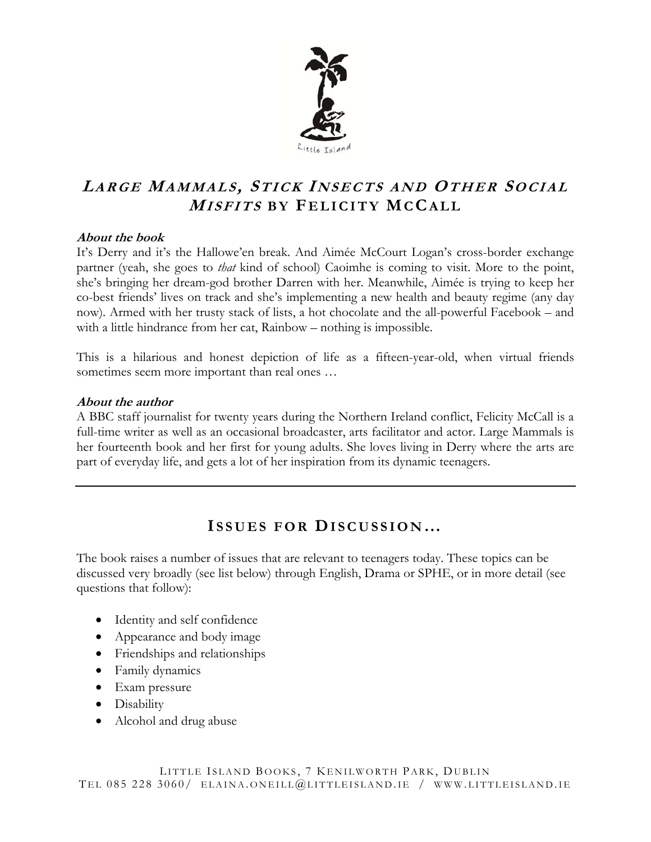

# **LARGE MAMMALS , STICK I NSECTS AND OTHER SOCIAL <sup>M</sup>ISFITS BY F ELICITY MCCALL**

### **About the book**

It's Derry and it's the Hallowe'en break. And Aimée McCourt Logan's cross-border exchange partner (yeah, she goes to *that* kind of school) Caoimhe is coming to visit. More to the point, she's bringing her dream-god brother Darren with her. Meanwhile, Aimée is trying to keep her co-best friends' lives on track and she's implementing a new health and beauty regime (any day now). Armed with her trusty stack of lists, a hot chocolate and the all-powerful Facebook – and with a little hindrance from her cat, Rainbow – nothing is impossible.

This is a hilarious and honest depiction of life as a fifteen-year-old, when virtual friends sometimes seem more important than real ones ...

### **About the author**

A BBC staff journalist for twenty years during the Northern Ireland conflict, Felicity McCall is a full-time writer as well as an occasional broadcaster, arts facilitator and actor. Large Mammals is her fourteenth book and her first for young adults. She loves living in Derry where the arts are part of everyday life, and gets a lot of her inspiration from its dynamic teenagers.

### **I SSUES FOR DISCUSSION…**

The book raises a number of issues that are relevant to teenagers today. These topics can be discussed very broadly (see list below) through English, Drama or SPHE, or in more detail (see questions that follow):

- Identity and self confidence
- Appearance and body image
- Friendships and relationships
- Family dynamics
- Exam pressure
- Disability
- Alcohol and drug abuse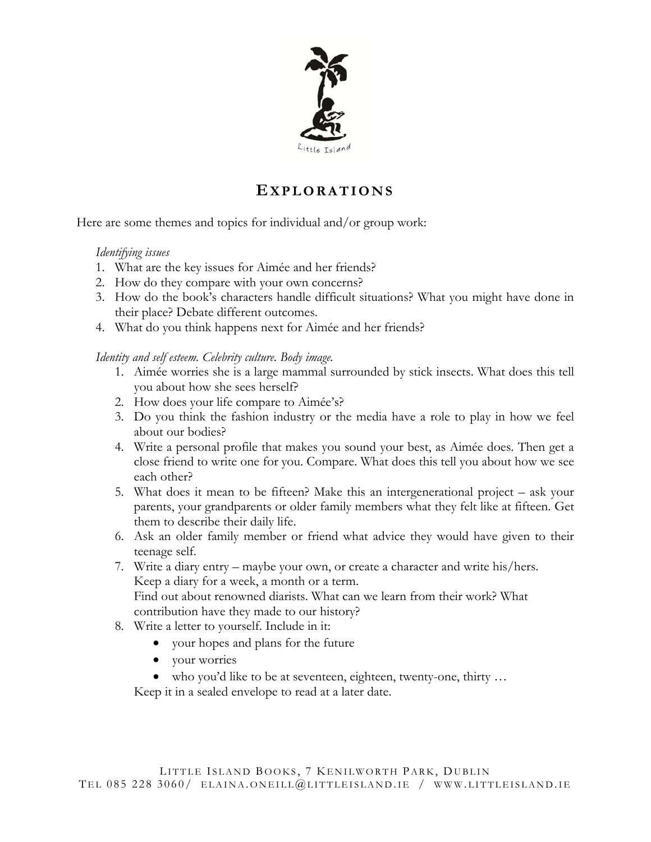

## **EXPLORATIONS**

Here are some themes and topics for individual and/or group work:

#### *Identifying issues*

- 1. What are the key issues for Aimée and her friends?
- 2. How do they compare with your own concerns?
- 3. How do the book's characters handle difficult situations? What you might have done in their place? Debate different outcomes.
- 4. What do you think happens next for Aimée and her friends?

*Identity and self esteem. Celebrity culture. Body image.* 

- 1. Aimée worries she is a large mammal surrounded by stick insects. What does this tell you about how she sees herself?
- 2. How does your life compare to Aimée's?
- 3. Do you think the fashion industry or the media have a role to play in how we feel about our bodies?
- 4. Write a personal profile that makes you sound your best, as Aimée does. Then get a close friend to write one for you. Compare. What does this tell you about how we see each other?
- 5. What does it mean to be fifteen? Make this an intergenerational project ask your parents, your grandparents or older family members what they felt like at fifteen. Get them to describe their daily life.
- 6. Ask an older family member or friend what advice they would have given to their teenage self.
- 7. Write a diary entry maybe your own, or create a character and write his/hers. Keep a diary for a week, a month or a term. Find out about renowned diarists. What can we learn from their work? What contribution have they made to our history?
- 8. Write a letter to yourself. Include in it:
	- your hopes and plans for the future
	- your worries
	- who you'd like to be at seventeen, eighteen, twenty-one, thirty …

Keep it in a sealed envelope to read at a later date.